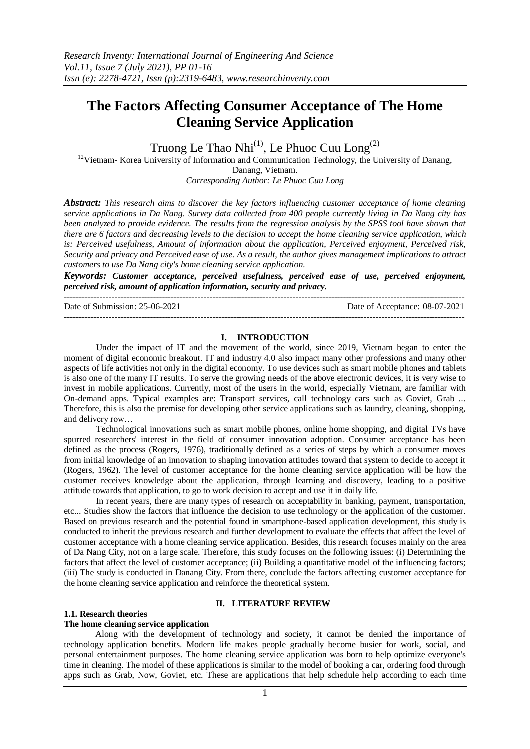---------------------------------------------------------------------------------------------------------------------------------------

# **The Factors Affecting Consumer Acceptance of The Home Cleaning Service Application**

Truong Le Thao Nhi $^{(1)}$ , Le Phuoc Cuu Long $^{(2)}$ <sup>12</sup>Vietnam- Korea University of Information and Communication Technology, the University of Danang, Danang, Vietnam. *Corresponding Author: Le Phuoc Cuu Long*

*Abstract: This research aims to discover the key factors influencing customer acceptance of home cleaning service applications in Da Nang. Survey data collected from 400 people currently living in Da Nang city has been analyzed to provide evidence. The results from the regression analysis by the SPSS tool have shown that there are 6 factors and decreasing levels to the decision to accept the home cleaning service application, which is: Perceived usefulness, Amount of information about the application, Perceived enjoyment, Perceived risk, Security and privacy and Perceived ease of use. As a result, the author gives management implications to attract customers to use Da Nang city's home cleaning service application.*

*Keywords: Customer acceptance, perceived usefulness, perceived ease of use, perceived enjoyment, perceived risk, amount of application information, security and privacy.*

Date of Submission: 25-06-2021 Date of Acceptance: 08-07-2021 ---------------------------------------------------------------------------------------------------------------------------------------

#### **I. INTRODUCTION**

Under the impact of IT and the movement of the world, since 2019, Vietnam began to enter the moment of digital economic breakout. IT and industry 4.0 also impact many other professions and many other aspects of life activities not only in the digital economy. To use devices such as smart mobile phones and tablets is also one of the many IT results. To serve the growing needs of the above electronic devices, it is very wise to invest in mobile applications. Currently, most of the users in the world, especially Vietnam, are familiar with On-demand apps. Typical examples are: Transport services, call technology cars such as Goviet, Grab ... Therefore, this is also the premise for developing other service applications such as laundry, cleaning, shopping, and delivery row…

Technological innovations such as smart mobile phones, online home shopping, and digital TVs have spurred researchers' interest in the field of consumer innovation adoption. Consumer acceptance has been defined as the process (Rogers, 1976), traditionally defined as a series of steps by which a consumer moves from initial knowledge of an innovation to shaping innovation attitudes toward that system to decide to accept it (Rogers, 1962). The level of customer acceptance for the home cleaning service application will be how the customer receives knowledge about the application, through learning and discovery, leading to a positive attitude towards that application, to go to work decision to accept and use it in daily life.

In recent years, there are many types of research on acceptability in banking, payment, transportation, etc... Studies show the factors that influence the decision to use technology or the application of the customer. Based on previous research and the potential found in smartphone-based application development, this study is conducted to inherit the previous research and further development to evaluate the effects that affect the level of customer acceptance with a home cleaning service application. Besides, this research focuses mainly on the area of Da Nang City, not on a large scale. Therefore, this study focuses on the following issues: (i) Determining the factors that affect the level of customer acceptance; (ii) Building a quantitative model of the influencing factors; (iii) The study is conducted in Danang City. From there, conclude the factors affecting customer acceptance for the home cleaning service application and reinforce the theoretical system.

#### **II. LITERATURE REVIEW**

#### **1.1. Research theories**

## **The home cleaning service application**

Along with the development of technology and society, it cannot be denied the importance of technology application benefits. Modern life makes people gradually become busier for work, social, and personal entertainment purposes. The home cleaning service application was born to help optimize everyone's time in cleaning. The model of these applications is similar to the model of booking a car, ordering food through apps such as Grab, Now, Goviet, etc. These are applications that help schedule help according to each time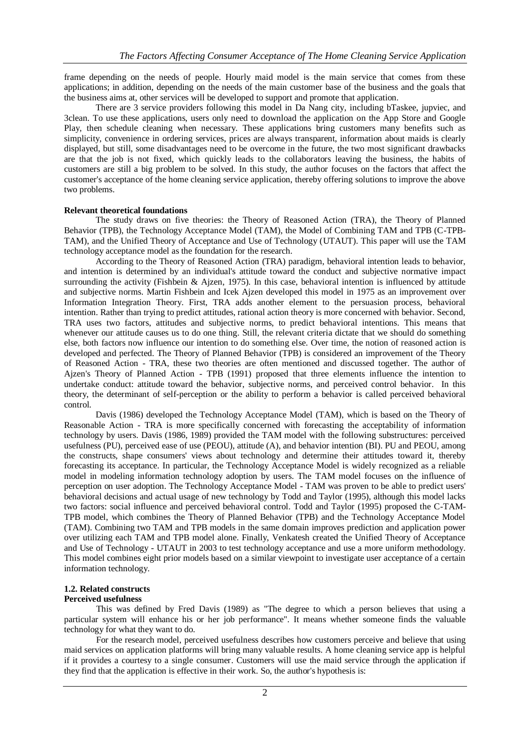frame depending on the needs of people. Hourly maid model is the main service that comes from these applications; in addition, depending on the needs of the main customer base of the business and the goals that the business aims at, other services will be developed to support and promote that application.

There are 3 service providers following this model in Da Nang city, including bTaskee, jupviec, and 3clean. To use these applications, users only need to download the application on the App Store and Google Play, then schedule cleaning when necessary. These applications bring customers many benefits such as simplicity, convenience in ordering services, prices are always transparent, information about maids is clearly displayed, but still, some disadvantages need to be overcome in the future, the two most significant drawbacks are that the job is not fixed, which quickly leads to the collaborators leaving the business, the habits of customers are still a big problem to be solved. In this study, the author focuses on the factors that affect the customer's acceptance of the home cleaning service application, thereby offering solutions to improve the above two problems.

## **Relevant theoretical foundations**

The study draws on five theories: the Theory of Reasoned Action (TRA), the Theory of Planned Behavior (TPB), the Technology Acceptance Model (TAM), the Model of Combining TAM and TPB (C-TPB-TAM), and the Unified Theory of Acceptance and Use of Technology (UTAUT). This paper will use the TAM technology acceptance model as the foundation for the research.

According to the Theory of Reasoned Action (TRA) paradigm, behavioral intention leads to behavior, and intention is determined by an individual's attitude toward the conduct and subjective normative impact surrounding the activity (Fishbein & Ajzen, 1975). In this case, behavioral intention is influenced by attitude and subjective norms. Martin Fishbein and Icek Ajzen developed this model in 1975 as an improvement over Information Integration Theory. First, TRA adds another element to the persuasion process, behavioral intention. Rather than trying to predict attitudes, rational action theory is more concerned with behavior. Second, TRA uses two factors, attitudes and subjective norms, to predict behavioral intentions. This means that whenever our attitude causes us to do one thing. Still, the relevant criteria dictate that we should do something else, both factors now influence our intention to do something else. Over time, the notion of reasoned action is developed and perfected. The Theory of Planned Behavior (TPB) is considered an improvement of the Theory of Reasoned Action - TRA, these two theories are often mentioned and discussed together. The author of Ajzen's Theory of Planned Action - TPB (1991) proposed that three elements influence the intention to undertake conduct: attitude toward the behavior, subjective norms, and perceived control behavior. In this theory, the determinant of self-perception or the ability to perform a behavior is called perceived behavioral control.

Davis (1986) developed the Technology Acceptance Model (TAM), which is based on the Theory of Reasonable Action - TRA is more specifically concerned with forecasting the acceptability of information technology by users. Davis (1986, 1989) provided the TAM model with the following substructures: perceived usefulness (PU), perceived ease of use (PEOU), attitude (A), and behavior intention (BI). PU and PEOU, among the constructs, shape consumers' views about technology and determine their attitudes toward it, thereby forecasting its acceptance. In particular, the Technology Acceptance Model is widely recognized as a reliable model in modeling information technology adoption by users. The TAM model focuses on the influence of perception on user adoption. The Technology Acceptance Model - TAM was proven to be able to predict users' behavioral decisions and actual usage of new technology by Todd and Taylor (1995), although this model lacks two factors: social influence and perceived behavioral control. Todd and Taylor (1995) proposed the C-TAM-TPB model, which combines the Theory of Planned Behavior (TPB) and the Technology Acceptance Model (TAM). Combining two TAM and TPB models in the same domain improves prediction and application power over utilizing each TAM and TPB model alone. Finally, Venkatesh created the Unified Theory of Acceptance and Use of Technology - UTAUT in 2003 to test technology acceptance and use a more uniform methodology. This model combines eight prior models based on a similar viewpoint to investigate user acceptance of a certain information technology.

## **1.2. Related constructs**

## **Perceived usefulness**

This was defined by Fred Davis (1989) as "The degree to which a person believes that using a particular system will enhance his or her job performance". It means whether someone finds the valuable technology for what they want to do.

For the research model, perceived usefulness describes how customers perceive and believe that using maid services on application platforms will bring many valuable results. A home cleaning service app is helpful if it provides a courtesy to a single consumer. Customers will use the maid service through the application if they find that the application is effective in their work. So, the author's hypothesis is: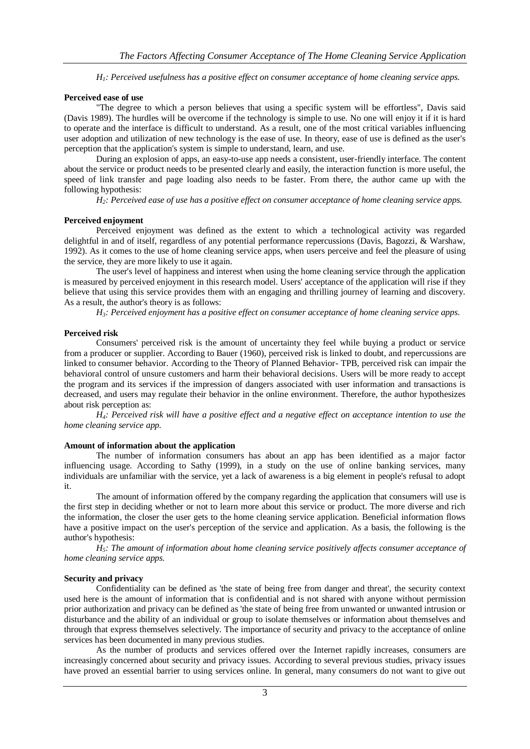*H1: Perceived usefulness has a positive effect on consumer acceptance of home cleaning service apps.*

#### **Perceived ease of use**

"The degree to which a person believes that using a specific system will be effortless", Davis said (Davis 1989). The hurdles will be overcome if the technology is simple to use. No one will enjoy it if it is hard to operate and the interface is difficult to understand. As a result, one of the most critical variables influencing user adoption and utilization of new technology is the ease of use. In theory, ease of use is defined as the user's perception that the application's system is simple to understand, learn, and use.

During an explosion of apps, an easy-to-use app needs a consistent, user-friendly interface. The content about the service or product needs to be presented clearly and easily, the interaction function is more useful, the speed of link transfer and page loading also needs to be faster. From there, the author came up with the following hypothesis:

*H2: Perceived ease of use has a positive effect on consumer acceptance of home cleaning service apps.*

#### **Perceived enjoyment**

Perceived enjoyment was defined as the extent to which a technological activity was regarded delightful in and of itself, regardless of any potential performance repercussions (Davis, Bagozzi, & Warshaw, 1992). As it comes to the use of home cleaning service apps, when users perceive and feel the pleasure of using the service, they are more likely to use it again.

The user's level of happiness and interest when using the home cleaning service through the application is measured by perceived enjoyment in this research model. Users' acceptance of the application will rise if they believe that using this service provides them with an engaging and thrilling journey of learning and discovery. As a result, the author's theory is as follows:

*H3: Perceived enjoyment has a positive effect on consumer acceptance of home cleaning service apps.*

## **Perceived risk**

Consumers' perceived risk is the amount of uncertainty they feel while buying a product or service from a producer or supplier. According to Bauer (1960), perceived risk is linked to doubt, and repercussions are linked to consumer behavior. According to the Theory of Planned Behavior- TPB, perceived risk can impair the behavioral control of unsure customers and harm their behavioral decisions. Users will be more ready to accept the program and its services if the impression of dangers associated with user information and transactions is decreased, and users may regulate their behavior in the online environment. Therefore, the author hypothesizes about risk perception as:

*H4: Perceived risk will have a positive effect and a negative effect on acceptance intention to use the home cleaning service app.*

## **Amount of information about the application**

The number of information consumers has about an app has been identified as a major factor influencing usage. According to Sathy (1999), in a study on the use of online banking services, many individuals are unfamiliar with the service, yet a lack of awareness is a big element in people's refusal to adopt it.

The amount of information offered by the company regarding the application that consumers will use is the first step in deciding whether or not to learn more about this service or product. The more diverse and rich the information, the closer the user gets to the home cleaning service application. Beneficial information flows have a positive impact on the user's perception of the service and application. As a basis, the following is the author's hypothesis:

*H5: The amount of information about home cleaning service positively affects consumer acceptance of home cleaning service apps.*

## **Security and privacy**

Confidentiality can be defined as 'the state of being free from danger and threat', the security context used here is the amount of information that is confidential and is not shared with anyone without permission prior authorization and privacy can be defined as 'the state of being free from unwanted or unwanted intrusion or disturbance and the ability of an individual or group to isolate themselves or information about themselves and through that express themselves selectively. The importance of security and privacy to the acceptance of online services has been documented in many previous studies.

As the number of products and services offered over the Internet rapidly increases, consumers are increasingly concerned about security and privacy issues. According to several previous studies, privacy issues have proved an essential barrier to using services online. In general, many consumers do not want to give out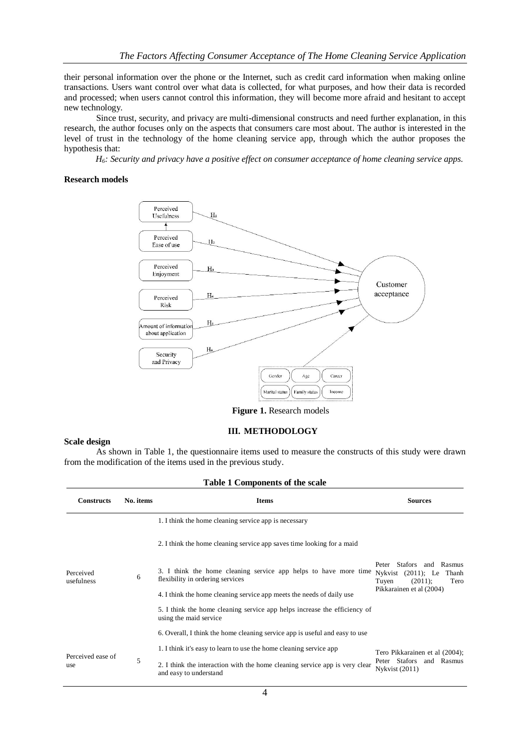their personal information over the phone or the Internet, such as credit card information when making online transactions. Users want control over what data is collected, for what purposes, and how their data is recorded and processed; when users cannot control this information, they will become more afraid and hesitant to accept new technology.

Since trust, security, and privacy are multi-dimensional constructs and need further explanation, in this research, the author focuses only on the aspects that consumers care most about. The author is interested in the level of trust in the technology of the home cleaning service app, through which the author proposes the hypothesis that:

*H6: Security and privacy have a positive effect on consumer acceptance of home cleaning service apps.*

## **Research models**



**Figure 1.** Research models

#### **III. METHODOLOGY**

#### **Scale design**

As shown in Table 1, the questionnaire items used to measure the constructs of this study were drawn from the modification of the items used in the previous study.

| <b>Table 1 Components of the scale</b> |           |                                                                                                                                                                              |                                                                                                                       |  |  |  |  |
|----------------------------------------|-----------|------------------------------------------------------------------------------------------------------------------------------------------------------------------------------|-----------------------------------------------------------------------------------------------------------------------|--|--|--|--|
| <b>Constructs</b>                      | No. items | <b>Items</b>                                                                                                                                                                 | <b>Sources</b>                                                                                                        |  |  |  |  |
|                                        |           | 1. I think the home cleaning service app is necessary                                                                                                                        |                                                                                                                       |  |  |  |  |
| Perceived<br>usefulness                |           | 2. I think the home cleaning service app saves time looking for a maid                                                                                                       |                                                                                                                       |  |  |  |  |
|                                        | 6         | 3. I think the home cleaning service app helps to have more time<br>flexibility in ordering services                                                                         | Peter Stafors and Rasmus<br>Nykvist $(2011)$ ; Le<br>Thanh<br>$(2011)$ ;<br>Tuyen<br>Tero<br>Pikkarainen et al (2004) |  |  |  |  |
|                                        |           | 4. I think the home cleaning service app meets the needs of daily use<br>5. I think the home cleaning service app helps increase the efficiency of<br>using the maid service |                                                                                                                       |  |  |  |  |
|                                        |           | 6. Overall, I think the home cleaning service app is useful and easy to use                                                                                                  |                                                                                                                       |  |  |  |  |
| Perceived ease of<br>use               | 5         | 1. I think it's easy to learn to use the home cleaning service app                                                                                                           | Tero Pikkarainen et al (2004);                                                                                        |  |  |  |  |
|                                        |           | 2. I think the interaction with the home cleaning service app is very clear<br>and easy to understand                                                                        | Peter Stafors<br>Rasmus<br>and<br><b>Nykvist</b> (2011)                                                               |  |  |  |  |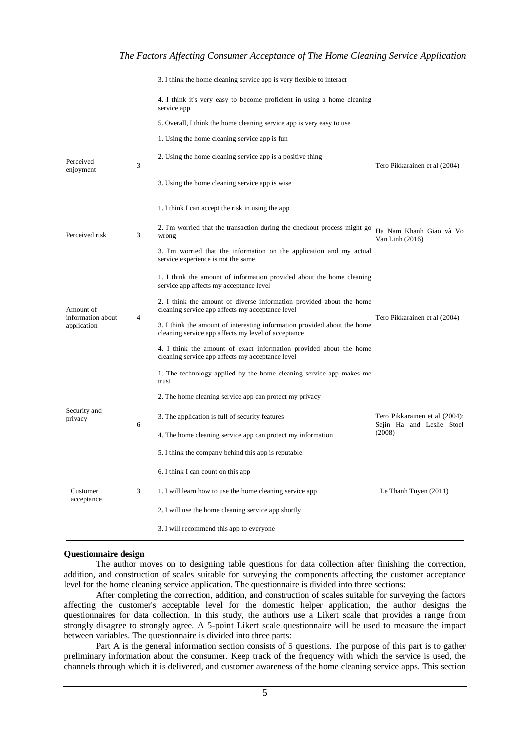|                                  |                | 3. I think the home cleaning service app is very flexible to interact                                                           |                                                             |  |
|----------------------------------|----------------|---------------------------------------------------------------------------------------------------------------------------------|-------------------------------------------------------------|--|
|                                  |                | 4. I think it's very easy to become proficient in using a home cleaning<br>service app                                          |                                                             |  |
|                                  |                | 5. Overall, I think the home cleaning service app is very easy to use                                                           |                                                             |  |
|                                  |                | 1. Using the home cleaning service app is fun                                                                                   |                                                             |  |
| Perceived<br>enjoyment           | 3              | 2. Using the home cleaning service app is a positive thing                                                                      | Tero Pikkarainen et al (2004)                               |  |
|                                  |                | 3. Using the home cleaning service app is wise.                                                                                 |                                                             |  |
|                                  |                | 1. I think I can accept the risk in using the app                                                                               |                                                             |  |
| Perceived risk                   | 3              | 2. I'm worried that the transaction during the checkout process might go<br>wrong                                               | Ha Nam Khanh Giao và Vo<br>Van Linh $(2016)$                |  |
|                                  |                | 3. I'm worried that the information on the application and my actual<br>service experience is not the same                      |                                                             |  |
|                                  |                | 1. I think the amount of information provided about the home cleaning<br>service app affects my acceptance level                |                                                             |  |
| Amount of                        | $\overline{4}$ | 2. I think the amount of diverse information provided about the home<br>cleaning service app affects my acceptance level        | Tero Pikkarainen et al (2004)                               |  |
| information about<br>application |                | 3. I think the amount of interesting information provided about the home<br>cleaning service app affects my level of acceptance |                                                             |  |
|                                  |                | 4. I think the amount of exact information provided about the home<br>cleaning service app affects my acceptance level          |                                                             |  |
|                                  |                | 1. The technology applied by the home cleaning service app makes me<br>trust                                                    |                                                             |  |
|                                  |                | 2. The home cleaning service app can protect my privacy                                                                         |                                                             |  |
| Security and<br>privacy          | 6              | 3. The application is full of security features                                                                                 | Tero Pikkarainen et al (2004);<br>Sejin Ha and Leslie Stoel |  |
|                                  |                | 4. The home cleaning service app can protect my information                                                                     | (2008)                                                      |  |
|                                  |                | 5. I think the company behind this app is reputable                                                                             |                                                             |  |
|                                  |                | 6. I think I can count on this app                                                                                              |                                                             |  |
| Customer<br>acceptance           | 3              | 1. I will learn how to use the home cleaning service app                                                                        | Le Thanh Tuyen (2011)                                       |  |
|                                  |                | 2. I will use the home cleaning service app shortly                                                                             |                                                             |  |
|                                  |                | 3. I will recommend this app to everyone                                                                                        |                                                             |  |

#### **Questionnaire design**

The author moves on to designing table questions for data collection after finishing the correction, addition, and construction of scales suitable for surveying the components affecting the customer acceptance level for the home cleaning service application. The questionnaire is divided into three sections:

After completing the correction, addition, and construction of scales suitable for surveying the factors affecting the customer's acceptable level for the domestic helper application, the author designs the questionnaires for data collection. In this study, the authors use a Likert scale that provides a range from strongly disagree to strongly agree. A 5-point Likert scale questionnaire will be used to measure the impact between variables. The questionnaire is divided into three parts:

Part A is the general information section consists of 5 questions. The purpose of this part is to gather preliminary information about the consumer. Keep track of the frequency with which the service is used, the channels through which it is delivered, and customer awareness of the home cleaning service apps. This section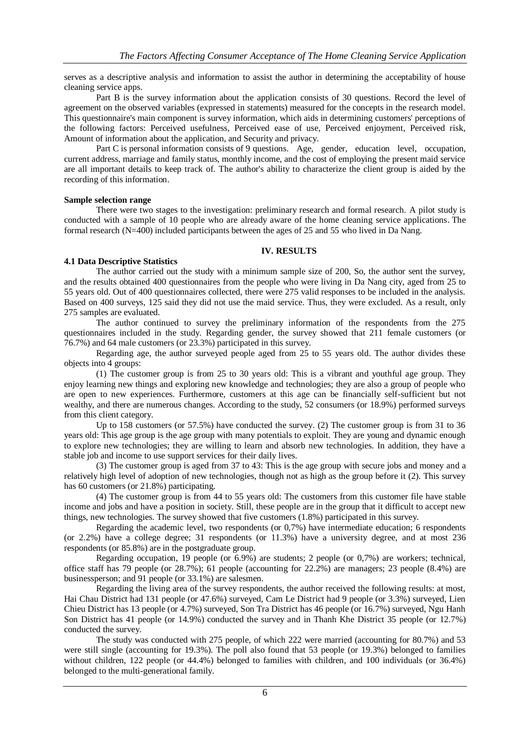serves as a descriptive analysis and information to assist the author in determining the acceptability of house cleaning service apps.

Part B is the survey information about the application consists of 30 questions. Record the level of agreement on the observed variables (expressed in statements) measured for the concepts in the research model. This questionnaire's main component is survey information, which aids in determining customers' perceptions of the following factors: Perceived usefulness, Perceived ease of use, Perceived enjoyment, Perceived risk, Amount of information about the application, and Security and privacy.

Part C is personal information consists of 9 questions. Age, gender, education level, occupation, current address, marriage and family status, monthly income, and the cost of employing the present maid service are all important details to keep track of. The author's ability to characterize the client group is aided by the recording of this information.

## **Sample selection range**

There were two stages to the investigation: preliminary research and formal research. A pilot study is conducted with a sample of 10 people who are already aware of the home cleaning service applications. The formal research (N=400) included participants between the ages of 25 and 55 who lived in Da Nang.

#### **IV. RESULTS**

#### **4.1 Data Descriptive Statistics**

The author carried out the study with a minimum sample size of 200, So, the author sent the survey, and the results obtained 400 questionnaires from the people who were living in Da Nang city, aged from 25 to 55 years old. Out of 400 questionnaires collected, there were 275 valid responses to be included in the analysis. Based on 400 surveys, 125 said they did not use the maid service. Thus, they were excluded. As a result, only 275 samples are evaluated.

The author continued to survey the preliminary information of the respondents from the 275 questionnaires included in the study. Regarding gender, the survey showed that 211 female customers (or 76.7%) and 64 male customers (or 23.3%) participated in this survey.

Regarding age, the author surveyed people aged from 25 to 55 years old. The author divides these objects into 4 groups:

(1) The customer group is from 25 to 30 years old: This is a vibrant and youthful age group. They enjoy learning new things and exploring new knowledge and technologies; they are also a group of people who are open to new experiences. Furthermore, customers at this age can be financially self-sufficient but not wealthy, and there are numerous changes. According to the study, 52 consumers (or 18.9%) performed surveys from this client category.

Up to 158 customers (or 57.5%) have conducted the survey. (2) The customer group is from 31 to 36 years old: This age group is the age group with many potentials to exploit. They are young and dynamic enough to explore new technologies; they are willing to learn and absorb new technologies. In addition, they have a stable job and income to use support services for their daily lives.

(3) The customer group is aged from 37 to 43: This is the age group with secure jobs and money and a relatively high level of adoption of new technologies, though not as high as the group before it (2). This survey has 60 customers (or 21.8%) participating.

(4) The customer group is from 44 to 55 years old: The customers from this customer file have stable income and jobs and have a position in society. Still, these people are in the group that it difficult to accept new things, new technologies. The survey showed that five customers (1.8%) participated in this survey.

Regarding the academic level, two respondents (or 0,7%) have intermediate education; 6 respondents (or 2.2%) have a college degree; 31 respondents (or 11.3%) have a university degree, and at most 236 respondents (or 85.8%) are in the postgraduate group.

Regarding occupation, 19 people (or 6.9%) are students; 2 people (or 0,7%) are workers; technical, office staff has 79 people (or 28.7%); 61 people (accounting for 22.2%) are managers; 23 people (8.4%) are businessperson; and 91 people (or 33.1%) are salesmen.

Regarding the living area of the survey respondents, the author received the following results: at most, Hai Chau District had 131 people (or 47.6%) surveyed, Cam Le District had 9 people (or 3.3%) surveyed, Lien Chieu District has 13 people (or 4.7%) surveyed, Son Tra District has 46 people (or 16.7%) surveyed, Ngu Hanh Son District has 41 people (or 14.9%) conducted the survey and in Thanh Khe District 35 people (or 12.7%) conducted the survey.

The study was conducted with 275 people, of which 222 were married (accounting for 80.7%) and 53 were still single (accounting for 19.3%). The poll also found that 53 people (or 19.3%) belonged to families without children, 122 people (or 44.4%) belonged to families with children, and 100 individuals (or 36.4%) belonged to the multi-generational family.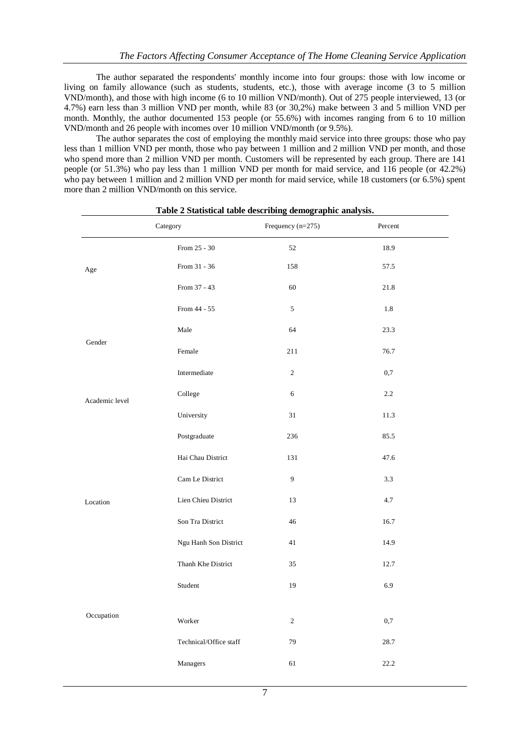The author separated the respondents' monthly income into four groups: those with low income or living on family allowance (such as students, students, etc.), those with average income (3 to 5 million VND/month), and those with high income (6 to 10 million VND/month). Out of 275 people interviewed, 13 (or 4.7%) earn less than 3 million VND per month, while 83 (or 30,2%) make between 3 and 5 million VND per month. Monthly, the author documented 153 people (or 55.6%) with incomes ranging from 6 to 10 million VND/month and 26 people with incomes over 10 million VND/month (or 9.5%).

The author separates the cost of employing the monthly maid service into three groups: those who pay less than 1 million VND per month, those who pay between 1 million and 2 million VND per month, and those who spend more than 2 million VND per month. Customers will be represented by each group. There are 141 people (or 51.3%) who pay less than 1 million VND per month for maid service, and 116 people (or 42.2%) who pay between 1 million and 2 million VND per month for maid service, while 18 customers (or 6.5%) spent more than 2 million VND/month on this service.

|                | Category               | Frequency $(n=275)$ | Percent |
|----------------|------------------------|---------------------|---------|
|                | From 25 - 30           | 52                  | 18.9    |
| Age            | From 31 - 36           | 158                 | 57.5    |
|                | From 37 - 43           | 60                  | 21.8    |
|                | From 44 - 55           | 5                   | 1.8     |
| Gender         | Male                   | 64                  | 23.3    |
|                | Female                 | 211                 | 76.7    |
|                | Intermediate           | $\overline{c}$      | 0,7     |
| Academic level | College                | 6                   | 2.2     |
|                | University             | 31                  | 11.3    |
|                | Postgraduate           | 236                 | 85.5    |
|                | Hai Chau District      | 131                 | 47.6    |
|                | Cam Le District        | 9                   | 3.3     |
| Location       | Lien Chieu District    | 13                  | 4.7     |
|                | Son Tra District       | 46                  | 16.7    |
|                | Ngu Hanh Son District  | 41                  | 14.9    |
|                | Thanh Khe District     | 35                  | 12.7    |
|                | Student                | 19                  | 6.9     |
|                |                        |                     |         |
| Occupation     | Worker                 | $\overline{2}$      | 0,7     |
|                | Technical/Office staff | 79                  | 28.7    |
|                | Managers               | 61                  | 22.2    |

#### **Table 2 Statistical table describing demographic analysis.**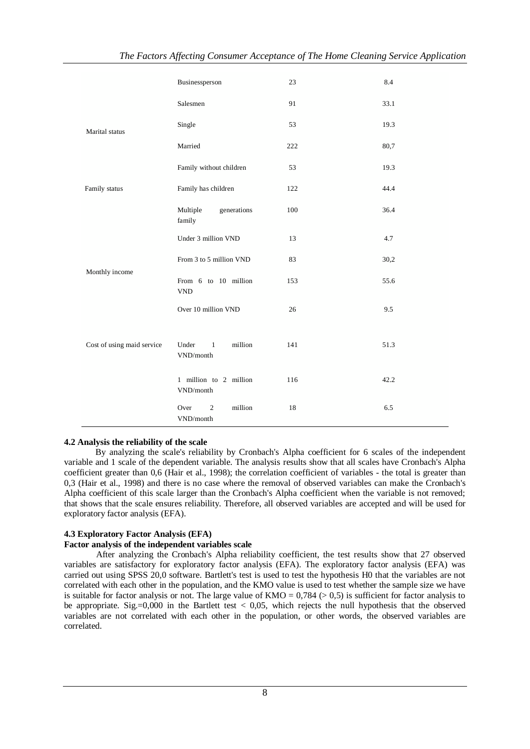|                            | Businessperson                                                              | 23  | 8.4  |
|----------------------------|-----------------------------------------------------------------------------|-----|------|
|                            | Salesmen                                                                    | 91  | 33.1 |
| Marital status             | Single                                                                      | 53  | 19.3 |
|                            | Married                                                                     | 222 | 80,7 |
|                            | Family without children                                                     | 53  | 19.3 |
| Family status              | Family has children                                                         | 122 | 44.4 |
|                            | Multiple<br>generations<br>family                                           | 100 | 36.4 |
|                            | Under 3 million VND                                                         | 13  | 4.7  |
|                            | From 3 to 5 million VND                                                     | 83  | 30,2 |
| Monthly income             | From 6 to 10 million<br>${\tt VND}$                                         | 153 | 55.6 |
|                            | Over 10 million VND                                                         | 26  | 9.5  |
| Cost of using maid service | Under<br>million<br>$\overline{1}$<br>VND/month                             | 141 | 51.3 |
|                            | 1 million to 2 million<br>$\ensuremath{\mathrm{VND}}\xspace/\mathrm{month}$ | 116 | 42.2 |
|                            | million<br>$\overline{2}$<br>Over<br>VND/month                              | 18  | 6.5  |

## **4.2 Analysis the reliability of the scale**

By analyzing the scale's reliability by Cronbach's Alpha coefficient for 6 scales of the independent variable and 1 scale of the dependent variable. The analysis results show that all scales have Cronbach's Alpha coefficient greater than 0,6 (Hair et al., 1998); the correlation coefficient of variables - the total is greater than 0,3 (Hair et al., 1998) and there is no case where the removal of observed variables can make the Cronbach's Alpha coefficient of this scale larger than the Cronbach's Alpha coefficient when the variable is not removed; that shows that the scale ensures reliability. Therefore, all observed variables are accepted and will be used for exploratory factor analysis (EFA).

## **4.3 Exploratory Factor Analysis (EFA)**

#### **Factor analysis of the independent variables scale**

After analyzing the Cronbach's Alpha reliability coefficient, the test results show that 27 observed variables are satisfactory for exploratory factor analysis (EFA). The exploratory factor analysis (EFA) was carried out using SPSS 20,0 software. Bartlett's test is used to test the hypothesis H0 that the variables are not correlated with each other in the population, and the KMO value is used to test whether the sample size we have is suitable for factor analysis or not. The large value of  $KMO = 0.784$  (> 0.5) is sufficient for factor analysis to be appropriate. Sig.=0,000 in the Bartlett test  $< 0.05$ , which rejects the null hypothesis that the observed variables are not correlated with each other in the population, or other words, the observed variables are correlated.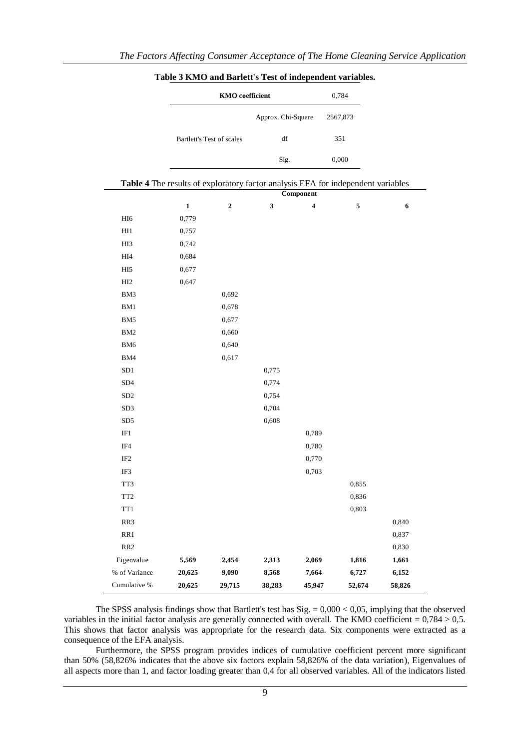|                 |             | <b>KMO</b> coefficient    |                    |           | 0,784                                                                            |        |
|-----------------|-------------|---------------------------|--------------------|-----------|----------------------------------------------------------------------------------|--------|
|                 |             |                           | Approx. Chi-Square |           | 2567,873                                                                         |        |
|                 |             | Bartlett's Test of scales | df                 |           | 351                                                                              |        |
|                 |             |                           | Sig.               |           | 0,000                                                                            |        |
|                 |             |                           |                    |           | Table 4 The results of exploratory factor analysis EFA for independent variables |        |
|                 |             |                           |                    | Component |                                                                                  |        |
|                 | $\mathbf 1$ | $\overline{\mathbf{c}}$   | $\mathbf{3}$       | 4         | 5                                                                                | 6      |
| HI <sub>6</sub> | 0,779       |                           |                    |           |                                                                                  |        |
| HI1             | 0,757       |                           |                    |           |                                                                                  |        |
| HI <sub>3</sub> | 0,742       |                           |                    |           |                                                                                  |        |
| HI4             | 0,684       |                           |                    |           |                                                                                  |        |
| HI <sub>5</sub> | 0,677       |                           |                    |           |                                                                                  |        |
| HI <sub>2</sub> | 0,647       |                           |                    |           |                                                                                  |        |
| BM3             |             | 0,692                     |                    |           |                                                                                  |        |
| BM1             |             | 0,678                     |                    |           |                                                                                  |        |
| BM5             |             | 0,677                     |                    |           |                                                                                  |        |
| BM <sub>2</sub> |             | 0,660                     |                    |           |                                                                                  |        |
| BM <sub>6</sub> |             | 0,640                     |                    |           |                                                                                  |        |
| BM4             |             | 0,617                     |                    |           |                                                                                  |        |
| SD <sub>1</sub> |             |                           | 0,775              |           |                                                                                  |        |
| SD4             |             |                           | 0,774              |           |                                                                                  |        |
| SD <sub>2</sub> |             |                           | 0,754              |           |                                                                                  |        |
| SD3             |             |                           | 0,704              |           |                                                                                  |        |
| SD5             |             |                           | 0,608              |           |                                                                                  |        |
| IF1             |             |                           |                    | 0,789     |                                                                                  |        |
| IF4             |             |                           |                    | 0,780     |                                                                                  |        |
| IF <sub>2</sub> |             |                           |                    | 0,770     |                                                                                  |        |
| IF3             |             |                           |                    | 0,703     |                                                                                  |        |
| TT3             |             |                           |                    |           | 0.855                                                                            |        |
| TT <sub>2</sub> |             |                           |                    |           | 0,836                                                                            |        |
| TT1             |             |                           |                    |           | 0,803                                                                            |        |
| RR3             |             |                           |                    |           |                                                                                  | 0,840  |
| RR1             |             |                           |                    |           |                                                                                  | 0,837  |
| RR <sub>2</sub> |             |                           |                    |           |                                                                                  | 0,830  |
| Eigenvalue      | 5,569       | 2,454                     | 2,313              | 2,069     | 1,816                                                                            | 1,661  |
| % of Variance   | 20,625      | 9,090                     | 8,568              | 7,664     | 6,727                                                                            | 6,152  |
| Cumulative %    | 20,625      | 29,715                    | 38,283             | 45,947    | 52,674                                                                           | 58,826 |

**Table 3 KMO and Barlett's Test of independent variables.**

The SPSS analysis findings show that Bartlett's test has Sig. = 0,000 < 0,05, implying that the observed variables in the initial factor analysis are generally connected with overall. The KMO coefficient =  $0.784 > 0.5$ . This shows that factor analysis was appropriate for the research data. Six components were extracted as a consequence of the EFA analysis.

Furthermore, the SPSS program provides indices of cumulative coefficient percent more significant than 50% (58,826% indicates that the above six factors explain 58,826% of the data variation), Eigenvalues of all aspects more than 1, and factor loading greater than 0,4 for all observed variables. All of the indicators listed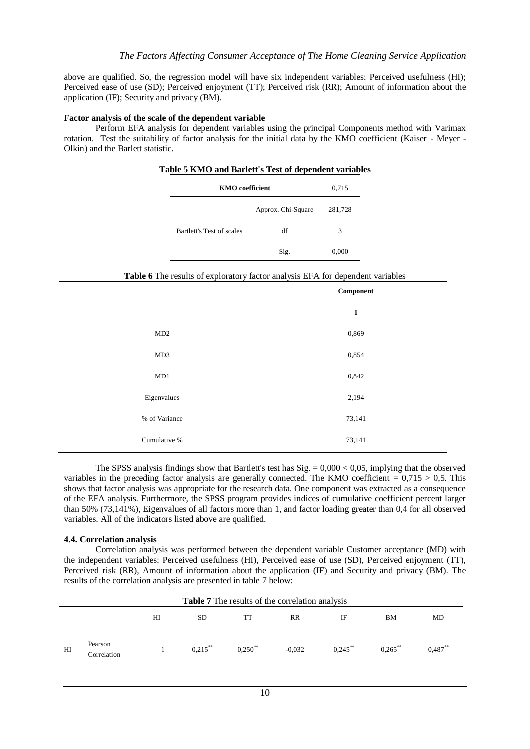above are qualified. So, the regression model will have six independent variables: Perceived usefulness (HI); Perceived ease of use (SD); Perceived enjoyment (TT); Perceived risk (RR); Amount of information about the application (IF); Security and privacy (BM).

#### **Factor analysis of the scale of the dependent variable**

Perform EFA analysis for dependent variables using the principal Components method with Varimax rotation. Test the suitability of factor analysis for the initial data by the KMO coefficient (Kaiser - Meyer - Olkin) and the Barlett statistic.

## **Table 5 KMO and Barlett's Test of dependent variables**

| <b>KMO</b> coefficient    | 0,715              |         |
|---------------------------|--------------------|---------|
|                           | Approx. Chi-Square | 281,728 |
| Bartlett's Test of scales | df                 | 3       |
|                           | Sig.               | 0,000   |

#### **Table 6** The results of exploratory factor analysis EFA for dependent variables

|               | Component    |
|---------------|--------------|
|               | $\mathbf{1}$ |
| MD2           | 0,869        |
| MD3           | 0,854        |
| MD1           | 0,842        |
| Eigenvalues   | 2,194        |
| % of Variance | 73,141       |
| Cumulative %  | 73,141       |

The SPSS analysis findings show that Bartlett's test has  $Sig = 0,000 < 0,05$ , implying that the observed variables in the preceding factor analysis are generally connected. The KMO coefficient  $= 0.715 > 0.5$ . This shows that factor analysis was appropriate for the research data. One component was extracted as a consequence of the EFA analysis. Furthermore, the SPSS program provides indices of cumulative coefficient percent larger than 50% (73,141%), Eigenvalues of all factors more than 1, and factor loading greater than 0,4 for all observed variables. All of the indicators listed above are qualified.

#### **4.4. Correlation analysis**

Correlation analysis was performed between the dependent variable Customer acceptance (MD) with the independent variables: Perceived usefulness (HI), Perceived ease of use (SD), Perceived enjoyment (TT), Perceived risk (RR), Amount of information about the application (IF) and Security and privacy (BM). The results of the correlation analysis are presented in table 7 below:

|    | <b>Table 7</b> The results of the correlation analysis |    |            |                       |           |            |            |           |
|----|--------------------------------------------------------|----|------------|-----------------------|-----------|------------|------------|-----------|
|    |                                                        | HI | <b>SD</b>  | TT                    | <b>RR</b> | IF         | BМ         | MD        |
| HI | Pearson<br>Correlation                                 |    | $0,215$ ** | $0.250$ <sup>**</sup> | $-0.032$  | $0.245$ ** | $0.265$ ** | $0.487**$ |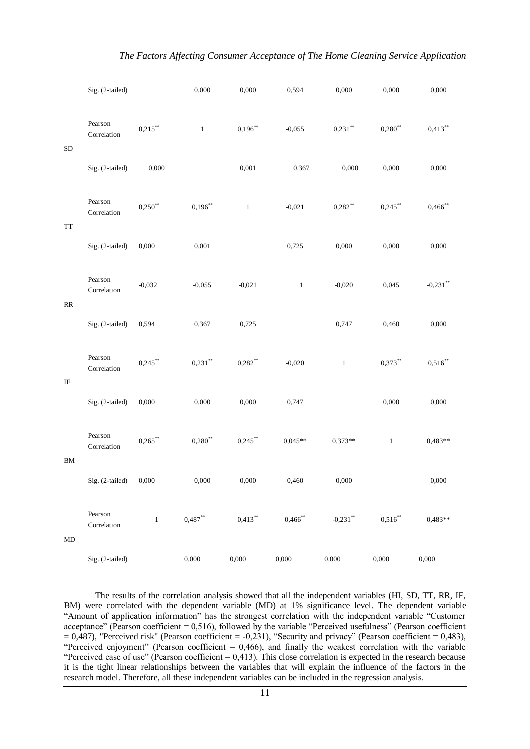|            | Sig. (2-tailed)        |            | 0,000      | 0,000        | 0,594        | 0,000        | 0,000        | 0,000       |
|------------|------------------------|------------|------------|--------------|--------------|--------------|--------------|-------------|
| ${\rm SD}$ | Pearson<br>Correlation | $0,215$ ** | $\,1$      | $0,196**$    | $-0,055$     | $0,231$ **   | $0,280**$    | $0,413***$  |
|            | Sig. (2-tailed)        | 0,000      |            | 0,001        | 0,367        | 0,000        | 0,000        | 0,000       |
| <b>TT</b>  | Pearson<br>Correlation | $0,250**$  | $0,196***$ | $\mathbf{1}$ | $-0,021$     | $0,282**$    | $0,245***$   | $0,466$ **  |
|            | Sig. (2-tailed)        | 0,000      | 0,001      |              | 0,725        | 0,000        | 0,000        | 0,000       |
| RR         | Pearson<br>Correlation | $-0,032$   | $-0,055$   | $-0,021$     | $\mathbf{1}$ | $-0.020$     | 0,045        | $-0,231$ ** |
|            | Sig. (2-tailed)        | 0,594      | 0,367      | 0,725        |              | 0,747        | 0,460        | 0,000       |
| IF         | Pearson<br>Correlation | $0,245***$ | $0,231**$  | $0,282**$    | $-0,020$     | $\mathbf{1}$ | $0,373**$    | $0,516**$   |
|            | Sig. (2-tailed)        | 0,000      | 0,000      | 0,000        | 0,747        |              | 0,000        | 0,000       |
| $\rm BM$   | Pearson<br>Correlation | $0,265***$ | $0,280**$  | $0,245***$   | $0,045**$    | $0.373**$    | $\mathbf{1}$ | $0,483**$   |
|            | Sig. (2-tailed)        | 0,000      | 0,000      | 0,000        | 0,460        | 0,000        |              | 0,000       |
| MD         | Pearson<br>Correlation | $\,1\,$    | $0,487**$  | $0,413**$    | $0,466$ **   | $-0,231$ **  | $0,516***$   | $0,483**$   |
|            | Sig. (2-tailed)        |            | 0,000      | 0,000        | 0,000        | 0,000        | 0,000        | 0,000       |

The results of the correlation analysis showed that all the independent variables (HI, SD, TT, RR, IF, BM) were correlated with the dependent variable (MD) at 1% significance level. The dependent variable "Amount of application information" has the strongest correlation with the independent variable "Customer acceptance" (Pearson coefficient  $= 0.516$ ), followed by the variable "Perceived usefulness" (Pearson coefficient  $= 0,487$ ), "Perceived risk" (Pearson coefficient  $= -0,231$ ), "Security and privacy" (Pearson coefficient  $= 0,483$ ), "Perceived enjoyment" (Pearson coefficient  $= 0,466$ ), and finally the weakest correlation with the variable "Perceived ease of use" (Pearson coefficient  $= 0.413$ ). This close correlation is expected in the research because it is the tight linear relationships between the variables that will explain the influence of the factors in the research model. Therefore, all these independent variables can be included in the regression analysis.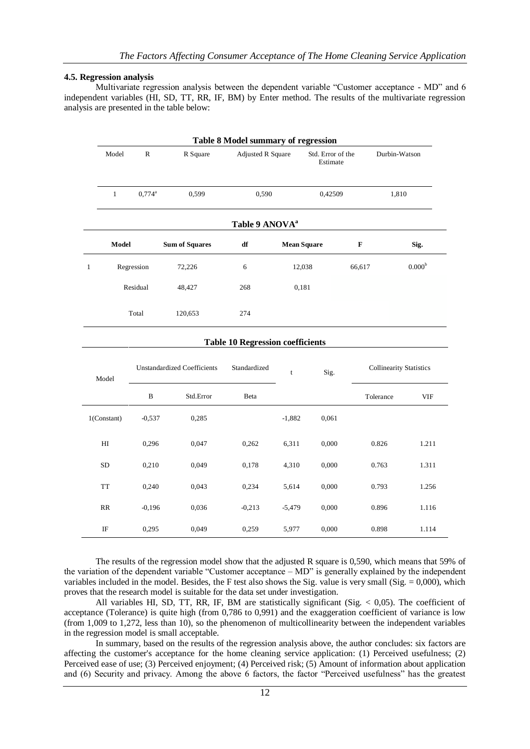#### **4.5. Regression analysis**

Multivariate regression analysis between the dependent variable "Customer acceptance - MD" and 6 independent variables (HI, SD, TT, RR, IF, BM) by Enter method. The results of the multivariate regression analysis are presented in the table below:

|                            | <b>Table 8 Model summary of regression</b> |                                      |                                         |                    |                               |                                |               |                 |  |  |
|----------------------------|--------------------------------------------|--------------------------------------|-----------------------------------------|--------------------|-------------------------------|--------------------------------|---------------|-----------------|--|--|
| Model                      | $\mathbb{R}$                               | R Square<br><b>Adjusted R Square</b> |                                         |                    | Std. Error of the<br>Estimate |                                | Durbin-Watson |                 |  |  |
| $\mathbf{1}$               | $0,774^{\rm a}$                            |                                      | 0,590                                   |                    | 0,42509                       |                                | 1,810         |                 |  |  |
|                            |                                            |                                      | Table 9 ANOVA <sup>a</sup>              |                    |                               |                                |               |                 |  |  |
| Model                      |                                            | <b>Sum of Squares</b>                | ${\bf df}$                              | <b>Mean Square</b> |                               | $\mathbf F$                    |               | Sig.            |  |  |
| $\mathbf{1}$               | Regression                                 | 72,226                               | $\sqrt{6}$                              | 12,038             |                               | 66,617                         |               | $0.000^{\rm b}$ |  |  |
|                            | Residual                                   | 48,427                               | 268                                     | 0,181              |                               |                                |               |                 |  |  |
|                            | Total<br>120,653                           |                                      |                                         |                    |                               |                                |               |                 |  |  |
|                            |                                            |                                      | <b>Table 10 Regression coefficients</b> |                    |                               |                                |               |                 |  |  |
| Model                      |                                            | <b>Unstandardized Coefficients</b>   | Standardized                            | $\mathbf t$        | Sig.                          | <b>Collinearity Statistics</b> |               |                 |  |  |
|                            | $\, {\bf B}$                               | Std.Error                            | Beta                                    |                    |                               |                                | Tolerance     | <b>VIF</b>      |  |  |
| $1$ (Constant)             | $-0,537$                                   | 0,285                                |                                         | $-1,882$           | 0,061                         |                                |               |                 |  |  |
| $\mathop{\rm HI}\nolimits$ | 0,296                                      | 0,047                                | 0,262                                   | 6,311              | 0,000                         |                                | 0.826         | 1.211           |  |  |
| ${\rm SD}$                 | 0,210                                      | 0,049                                | 0,178                                   | 4,310              | 0,000                         |                                | 0.763         | 1.311           |  |  |
| <b>TT</b>                  | 0,240                                      | 0,043                                | 0,234                                   | 5,614              | 0,000                         |                                | 0.793         | 1.256           |  |  |
| RR                         | $-0,196$                                   | 0,036                                | $-0,213$                                | $-5,479$           | 0,000                         |                                | 0.896         | 1.116           |  |  |
| IF                         | 0,295                                      | 0,049                                | 0,259                                   | 5,977              | 0,000                         |                                | 0.898         | 1.114           |  |  |

The results of the regression model show that the adjusted R square is 0,590, which means that 59% of the variation of the dependent variable "Customer acceptance – MD" is generally explained by the independent variables included in the model. Besides, the F test also shows the Sig. value is very small (Sig.  $= 0.000$ ), which proves that the research model is suitable for the data set under investigation.

All variables HI, SD, TT, RR, IF, BM are statistically significant (Sig. < 0,05). The coefficient of acceptance (Tolerance) is quite high (from 0,786 to 0,991) and the exaggeration coefficient of variance is low (from 1,009 to 1,272, less than 10), so the phenomenon of multicollinearity between the independent variables in the regression model is small acceptable.

In summary, based on the results of the regression analysis above, the author concludes: six factors are affecting the customer's acceptance for the home cleaning service application: (1) Perceived usefulness; (2) Perceived ease of use; (3) Perceived enjoyment; (4) Perceived risk; (5) Amount of information about application and (6) Security and privacy. Among the above 6 factors, the factor "Perceived usefulness" has the greatest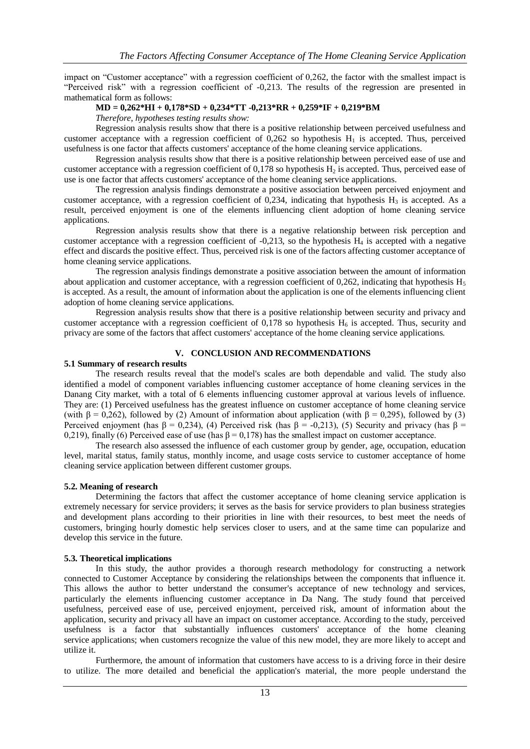impact on "Customer acceptance" with a regression coefficient of 0,262, the factor with the smallest impact is "Perceived risk" with a regression coefficient of -0,213. The results of the regression are presented in mathematical form as follows:

#### **MD = 0,262\*HI + 0,178\*SD + 0,234\*TT -0,213\*RR + 0,259\*IF + 0,219\*BM**

*Therefore, hypotheses testing results show:*

Regression analysis results show that there is a positive relationship between perceived usefulness and customer acceptance with a regression coefficient of  $0,262$  so hypothesis  $H<sub>1</sub>$  is accepted. Thus, perceived usefulness is one factor that affects customers' acceptance of the home cleaning service applications.

Regression analysis results show that there is a positive relationship between perceived ease of use and customer acceptance with a regression coefficient of  $0,178$  so hypothesis  $H_2$  is accepted. Thus, perceived ease of use is one factor that affects customers' acceptance of the home cleaning service applications.

The regression analysis findings demonstrate a positive association between perceived enjoyment and customer acceptance, with a regression coefficient of 0,234, indicating that hypothesis  $H_3$  is accepted. As a result, perceived enjoyment is one of the elements influencing client adoption of home cleaning service applications.

Regression analysis results show that there is a negative relationship between risk perception and customer acceptance with a regression coefficient of  $-0.213$ , so the hypothesis  $H_4$  is accepted with a negative effect and discards the positive effect. Thus, perceived risk is one of the factors affecting customer acceptance of home cleaning service applications.

The regression analysis findings demonstrate a positive association between the amount of information about application and customer acceptance, with a regression coefficient of 0,262, indicating that hypothesis  $H_5$ is accepted. As a result, the amount of information about the application is one of the elements influencing client adoption of home cleaning service applications.

Regression analysis results show that there is a positive relationship between security and privacy and customer acceptance with a regression coefficient of 0,178 so hypothesis  $H_6$  is accepted. Thus, security and privacy are some of the factors that affect customers' acceptance of the home cleaning service applications.

## **V. CONCLUSION AND RECOMMENDATIONS**

## **5.1 Summary of research results**

The research results reveal that the model's scales are both dependable and valid. The study also identified a model of component variables influencing customer acceptance of home cleaning services in the Danang City market, with a total of 6 elements influencing customer approval at various levels of influence. They are: (1) Perceived usefulness has the greatest influence on customer acceptance of home cleaning service (with  $\beta = 0.262$ ), followed by (2) Amount of information about application (with  $\beta = 0.295$ ), followed by (3) Perceived enjoyment (has  $\beta = 0.234$ ), (4) Perceived risk (has  $\beta = -0.213$ ), (5) Security and privacy (has  $\beta =$ 0,219), finally (6) Perceived ease of use (has  $\beta = 0.178$ ) has the smallest impact on customer acceptance.

The research also assessed the influence of each customer group by gender, age, occupation, education level, marital status, family status, monthly income, and usage costs service to customer acceptance of home cleaning service application between different customer groups.

## **5.2. Meaning of research**

Determining the factors that affect the customer acceptance of home cleaning service application is extremely necessary for service providers; it serves as the basis for service providers to plan business strategies and development plans according to their priorities in line with their resources, to best meet the needs of customers, bringing hourly domestic help services closer to users, and at the same time can popularize and develop this service in the future.

## **5.3. Theoretical implications**

In this study, the author provides a thorough research methodology for constructing a network connected to Customer Acceptance by considering the relationships between the components that influence it. This allows the author to better understand the consumer's acceptance of new technology and services, particularly the elements influencing customer acceptance in Da Nang. The study found that perceived usefulness, perceived ease of use, perceived enjoyment, perceived risk, amount of information about the application, security and privacy all have an impact on customer acceptance. According to the study, perceived usefulness is a factor that substantially influences customers' acceptance of the home cleaning service applications; when customers recognize the value of this new model, they are more likely to accept and utilize it.

Furthermore, the amount of information that customers have access to is a driving force in their desire to utilize. The more detailed and beneficial the application's material, the more people understand the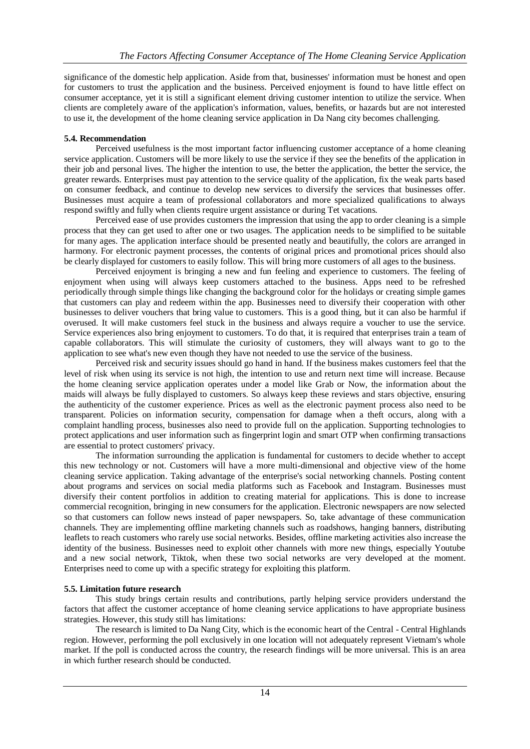significance of the domestic help application. Aside from that, businesses' information must be honest and open for customers to trust the application and the business. Perceived enjoyment is found to have little effect on consumer acceptance, yet it is still a significant element driving customer intention to utilize the service. When clients are completely aware of the application's information, values, benefits, or hazards but are not interested to use it, the development of the home cleaning service application in Da Nang city becomes challenging.

## **5.4. Recommendation**

Perceived usefulness is the most important factor influencing customer acceptance of a home cleaning service application. Customers will be more likely to use the service if they see the benefits of the application in their job and personal lives. The higher the intention to use, the better the application, the better the service, the greater rewards. Enterprises must pay attention to the service quality of the application, fix the weak parts based on consumer feedback, and continue to develop new services to diversify the services that businesses offer. Businesses must acquire a team of professional collaborators and more specialized qualifications to always respond swiftly and fully when clients require urgent assistance or during Tet vacations.

Perceived ease of use provides customers the impression that using the app to order cleaning is a simple process that they can get used to after one or two usages. The application needs to be simplified to be suitable for many ages. The application interface should be presented neatly and beautifully, the colors are arranged in harmony. For electronic payment processes, the contents of original prices and promotional prices should also be clearly displayed for customers to easily follow. This will bring more customers of all ages to the business.

Perceived enjoyment is bringing a new and fun feeling and experience to customers. The feeling of enjoyment when using will always keep customers attached to the business. Apps need to be refreshed periodically through simple things like changing the background color for the holidays or creating simple games that customers can play and redeem within the app. Businesses need to diversify their cooperation with other businesses to deliver vouchers that bring value to customers. This is a good thing, but it can also be harmful if overused. It will make customers feel stuck in the business and always require a voucher to use the service. Service experiences also bring enjoyment to customers. To do that, it is required that enterprises train a team of capable collaborators. This will stimulate the curiosity of customers, they will always want to go to the application to see what's new even though they have not needed to use the service of the business.

Perceived risk and security issues should go hand in hand. If the business makes customers feel that the level of risk when using its service is not high, the intention to use and return next time will increase. Because the home cleaning service application operates under a model like Grab or Now, the information about the maids will always be fully displayed to customers. So always keep these reviews and stars objective, ensuring the authenticity of the customer experience. Prices as well as the electronic payment process also need to be transparent. Policies on information security, compensation for damage when a theft occurs, along with a complaint handling process, businesses also need to provide full on the application. Supporting technologies to protect applications and user information such as fingerprint login and smart OTP when confirming transactions are essential to protect customers' privacy.

The information surrounding the application is fundamental for customers to decide whether to accept this new technology or not. Customers will have a more multi-dimensional and objective view of the home cleaning service application. Taking advantage of the enterprise's social networking channels. Posting content about programs and services on social media platforms such as Facebook and Instagram. Businesses must diversify their content portfolios in addition to creating material for applications. This is done to increase commercial recognition, bringing in new consumers for the application. Electronic newspapers are now selected so that customers can follow news instead of paper newspapers. So, take advantage of these communication channels. They are implementing offline marketing channels such as roadshows, hanging banners, distributing leaflets to reach customers who rarely use social networks. Besides, offline marketing activities also increase the identity of the business. Businesses need to exploit other channels with more new things, especially Youtube and a new social network, Tiktok, when these two social networks are very developed at the moment. Enterprises need to come up with a specific strategy for exploiting this platform.

## **5.5. Limitation future research**

This study brings certain results and contributions, partly helping service providers understand the factors that affect the customer acceptance of home cleaning service applications to have appropriate business strategies. However, this study still has limitations:

The research is limited to Da Nang City, which is the economic heart of the Central - Central Highlands region. However, performing the poll exclusively in one location will not adequately represent Vietnam's whole market. If the poll is conducted across the country, the research findings will be more universal. This is an area in which further research should be conducted.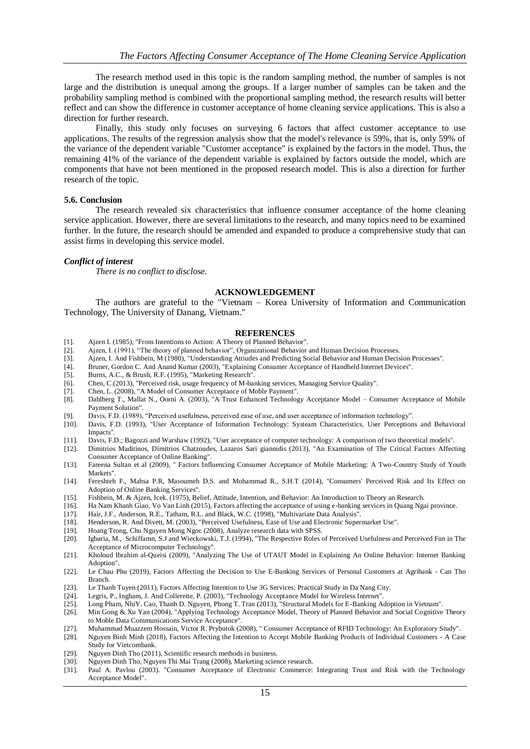The research method used in this topic is the random sampling method, the number of samples is not large and the distribution is unequal among the groups. If a larger number of samples can be taken and the probability sampling method is combined with the proportional sampling method, the research results will better reflect and can show the difference in customer acceptance of home cleaning service applications. This is also a direction for further research.

Finally, this study only focuses on surveying 6 factors that affect customer acceptance to use applications. The results of the regression analysis show that the model's relevance is 59%, that is, only 59% of the variance of the dependent variable "Customer acceptance" is explained by the factors in the model. Thus, the remaining 41% of the variance of the dependent variable is explained by factors outside the model, which are components that have not been mentioned in the proposed research model. This is also a direction for further research of the topic.

#### **5.6. Conclusion**

The research revealed six characteristics that influence consumer acceptance of the home cleaning service application. However, there are several limitations to the research, and many topics need to be examined further. In the future, the research should be amended and expanded to produce a comprehensive study that can assist firms in developing this service model.

#### *Conflict of interest*

*There is no conflict to disclose.*

#### **ACKNOWLEDGEMENT**

The authors are grateful to the "Vietnam – Korea University of Information and Communication Technology, The University of Danang, Vietnam."

#### **REFERENCES**

- [1]. Ajzen I. (1985), "From Intentions to Action: A Theory of Planned Behavior".
- [2]. Ajzen, I. (1991), "The theory of planned behavior", Organizational Behavior and Human Decision Processes.
- [3]. Ajzen, I. And Fishbein, M (1980), "Understanding Attiudes and Predicting Social Behavior and Human Decision Processes".<br>[4]. Bruner, Gordon C. And Anand Kumar (2003), "Explaining Consumer Acceptance of Handheld Intern
- [4]. Bruner, Gordon C. And Anand Kumar (2003), "Explaining Consumer Acceptance of Handheld Internet Devices".
- [5]. Burns, A.C., & Brush, R.F. (1995), "Marketing Research".
- [6]. Chen, C.(2013), "Perceived risk, usage frequency of M-banking services, Managing Service Quality".
- [7]. Chen, L. (2008), "A Model of Consumer Acceptance of Moble Payment".
- [8]. Dahlberg T., Mallat N., Oorni A. (2003), "A Trust Enhanced Technology Acceptance Model Consumer Acceptance of Mobile Payment Solution".
- 
- [9]. Davis, F.D. (1989), "Perceived usefulness, perceived ease of use, and user acceptance of information technology".<br>[10]. Davis, F.D. (1993), "User Acceptance of Information Technology: Systeam Characteristics, User Per Davis, F.D. (1993), "User Acceptance of Information Technology: Systeam Characteristics, User Perceptions and Behavioral Impacts".
- [11]. Davis, F.D.; Bagozzi and Warshaw (1992), "User acceptance of computer technology: A comparison of two theoretical models".
- [12]. Dimitrios Maditinos, Dimitrios Chatzoudes, Lazaros Sari giannidis (2013), "An Examination of The Critical Factors Affecting Consumer Acceptance of Online Banking".
- [13]. Fareena Sultan et al (2009), " Factors Influencing Consumer Acceptance of Mobile Marketing: A Two-Country Study of Youth Markets".
- [14]. Fereshteh F., Mahsa P.R, Masoumeh D.S. and Mohammad R., S.H.T (2014), "Consumers' Perceived Risk and Its Effect on Adoption of Online Banking Services".
- [15]. Fishbein, M. & Ajzen, Icek. (1975), Belief, Attitude, Intention, and Behavior: An Introduction to Theory an Research.
- [16]. Ha Nam Khanh Giao, Vo Van Linh (2015), Factors affecting the acceptance of using e-banking services in Quang Ngai province.
- [17]. Hair, J.F., Anderson, R.E., Tatham, R.L. and Black, W.C. (1998), "Multivariate Data Analysis".
- [18]. Henderson, R. And Divett, M. (2003), "Perceived Usefulness, Ease of Use and Electronic Supermarket Use".
- [19]. Hoang Trong, Chu Nguyen Mong Ngoc (2008), Analyze research data with SPSS.<br>[20]. Igbaria, M., Schiffamn, S.J and Wieckowski, T.J. (1994), "The Respective Roles
- [20]. Igbaria, M., Schiffamn, S.J and Wieckowski, T.J. (1994), "The Respective Roles of Perceived Usefulness and Perceived Fun in The Acceptance of Microcomputer Technology".
- [21]. Kholoud Ibrahim al-Queisi (2009), "Analyzing The Use of UTAUT Model in Explaining An Online Behavior: Internet Banking Adoption".
- [22]. Le Chau Phu (2019), Factors Affecting the Decision to Use E-Banking Services of Personal Customers at Agribank Can Tho Branch.
- [23]. Le Thanh Tuyen (2011), Factors Affecting Intention to Use 3G Services: Practical Study in Da Nang City.
- [24]. Legris, P., Ingham, J. And Collerette, P. (2003), "Technology Acceptance Model for Wireless Internet".
- [25]. Long Pham, NhiY. Cao, Thanh D. Nguyen, Phong T. Tran (2013), "Structural Models for E-Banking Adoption in Vietnam".
- [26]. Min Gong & Xu Yan (2004), "Applying Technology Acceptance Model, Theory of Planned Behavior and Social Cognitive Theory to Moble Data Communications Service Acceptance".
- [27]. Muhammad Muazzem Hossain, Victor R. Prybutok (2008), " Consumer Acceptance of RFID Technology: An Exploratory Study".
- Nguyen Binh Minh (2018), Factors Affecting the Intention to Accept Mobile Banking Products of Individual Customers A Case Study for Vietcombank.
- [29]. Nguyen Dinh Tho (2011), Scientific research methods in business.<br>[30]. Nguyen Dinh Tho, Nguyen Thi Mai Trang (2008), Marketing scien
- Nguyen Dinh Tho, Nguyen Thi Mai Trang (2008), Marketing science research.
- [31]. Paul A. Pavlou (2003). "Consumer Acceptance of Electronic Commerce: Integrating Trust and Risk with the Technology Acceptance Model".